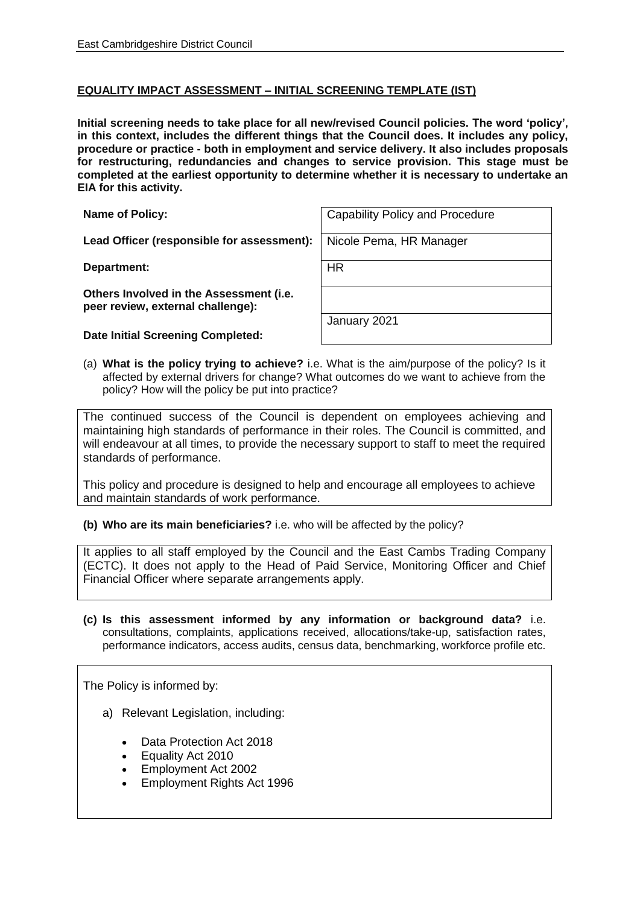## **EQUALITY IMPACT ASSESSMENT – INITIAL SCREENING TEMPLATE (IST)**

**Initial screening needs to take place for all new/revised Council policies. The word 'policy', in this context, includes the different things that the Council does. It includes any policy, procedure or practice - both in employment and service delivery. It also includes proposals for restructuring, redundancies and changes to service provision. This stage must be completed at the earliest opportunity to determine whether it is necessary to undertake an EIA for this activity.**

Lead Officer (responsible for assessment): | Nicole Pema, HR Manager

**Department:** HR

**Others Involved in the Assessment (i.e. peer review, external challenge):**

**Date Initial Screening Completed:**

**Name of Policy:** Capability Policy and Procedure

January 2021

(a) **What is the policy trying to achieve?** i.e. What is the aim/purpose of the policy? Is it affected by external drivers for change? What outcomes do we want to achieve from the policy? How will the policy be put into practice?

The continued success of the Council is dependent on employees achieving and maintaining high standards of performance in their roles. The Council is committed, and will endeavour at all times, to provide the necessary support to staff to meet the required standards of performance.

This policy and procedure is designed to help and encourage all employees to achieve and maintain standards of work performance.

**(b) Who are its main beneficiaries?** i.e. who will be affected by the policy?

It applies to all staff employed by the Council and the East Cambs Trading Company (ECTC). It does not apply to the Head of Paid Service, Monitoring Officer and Chief Financial Officer where separate arrangements apply.

**(c) Is this assessment informed by any information or background data?** i.e. consultations, complaints, applications received, allocations/take-up, satisfaction rates, performance indicators, access audits, census data, benchmarking, workforce profile etc.

The Policy is informed by:

- a) Relevant Legislation, including:
	- Data Protection Act 2018
	- Equality Act 2010
	- Employment Act 2002
	- Employment Rights Act 1996